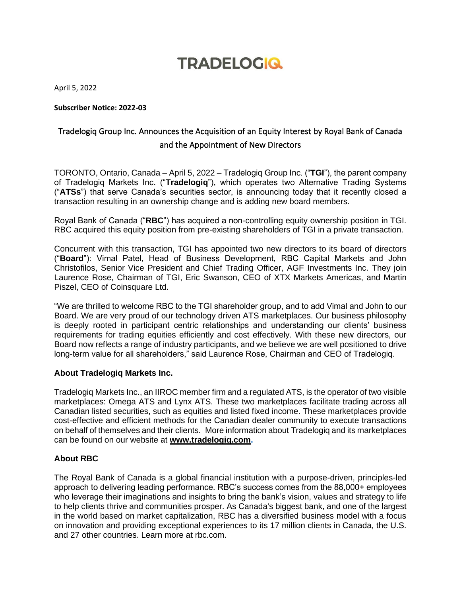## **TRADELOGIQ**

April 5, 2022

**Subscriber Notice: 2022-03**

## Tradelogiq Group Inc. Announces the Acquisition of an Equity Interest by Royal Bank of Canada and the Appointment of New Directors

TORONTO, Ontario, Canada – April 5, 2022 – Tradelogiq Group Inc. ("**TGI**"), the parent company of Tradelogiq Markets Inc. ("**Tradelogiq**"), which operates two Alternative Trading Systems ("**ATSs**") that serve Canada's securities sector, is announcing today that it recently closed a transaction resulting in an ownership change and is adding new board members.

Royal Bank of Canada ("**RBC**") has acquired a non-controlling equity ownership position in TGI. RBC acquired this equity position from pre-existing shareholders of TGI in a private transaction.

Concurrent with this transaction, TGI has appointed two new directors to its board of directors ("**Board**"): Vimal Patel, Head of Business Development, RBC Capital Markets and John Christofilos, Senior Vice President and Chief Trading Officer, AGF Investments Inc. They join Laurence Rose, Chairman of TGI, Eric Swanson, CEO of XTX Markets Americas, and Martin Piszel, CEO of Coinsquare Ltd.

"We are thrilled to welcome RBC to the TGI shareholder group, and to add Vimal and John to our Board. We are very proud of our technology driven ATS marketplaces. Our business philosophy is deeply rooted in participant centric relationships and understanding our clients' business requirements for trading equities efficiently and cost effectively. With these new directors, our Board now reflects a range of industry participants, and we believe we are well positioned to drive long-term value for all shareholders," said Laurence Rose, Chairman and CEO of Tradelogiq.

## **About Tradelogiq Markets Inc.**

Tradelogiq Markets Inc., an IIROC member firm and a regulated ATS, is the operator of two visible marketplaces: Omega ATS and Lynx ATS. These two marketplaces facilitate trading across all Canadian listed securities, such as equities and listed fixed income. These marketplaces provide cost-effective and efficient methods for the Canadian dealer community to execute transactions on behalf of themselves and their clients. More information about Tradelogiq and its marketplaces can be found on our website at **[www.tradelogiq.com.](http://www.tradelogiq.com/)**

## **About RBC**

The Royal Bank of Canada is a global financial institution with a purpose-driven, principles-led approach to delivering leading performance. RBC's success comes from the 88,000+ employees who leverage their imaginations and insights to bring the bank's vision, values and strategy to life to help clients thrive and communities prosper. As Canada's biggest bank, and one of the largest in the world based on market capitalization, RBC has a diversified business model with a focus on innovation and providing exceptional experiences to its 17 million clients in Canada, the U.S. and 27 other countries. Learn more at rbc.com.